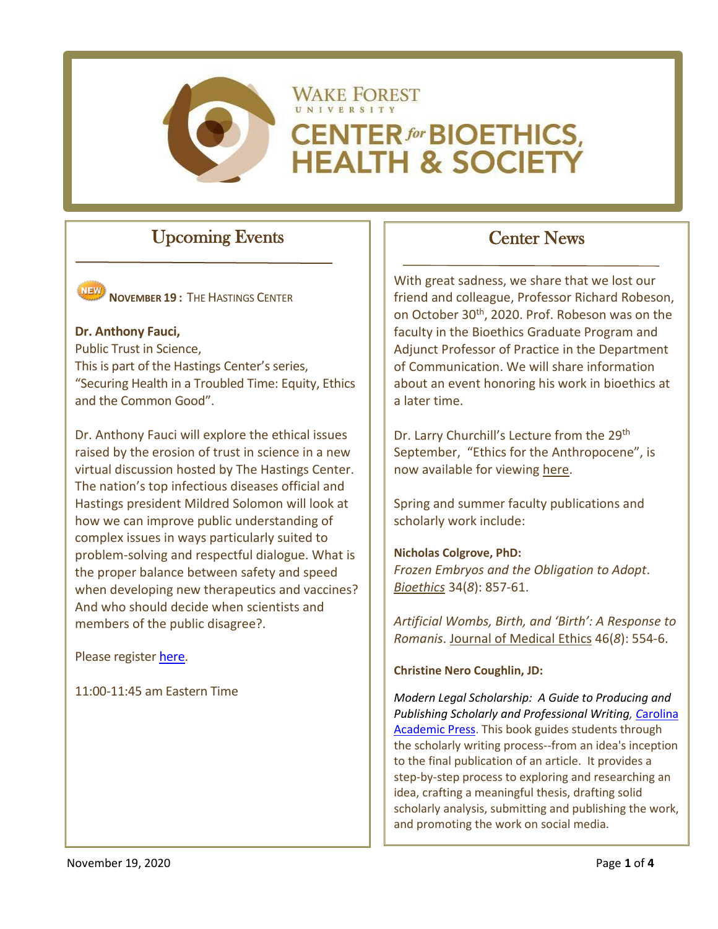

# Upcoming Events



**NOVEMBER 19 :** THE HASTINGS CENTER

## **Dr. Anthony Fauci,**

Public Trust in Science, This is part of the Hastings Center's series, "Securing Health in a Troubled Time: Equity, Ethics and the Common Good".

Dr. Anthony Fauci will explore the ethical issues raised by the erosion of trust in science in a new virtual discussion hosted by The Hastings Center. The nation's top infectious diseases official and Hastings president Mildred Solomon will look at how we can improve public understanding of complex issues in ways particularly suited to problem-solving and respectful dialogue. What is the proper balance between safety and speed when developing new therapeutics and vaccines? And who should decide when scientists and members of the public disagree?.

Please registe[r here.](https://www.thehastingscenter.org/public-trust-in-science/)

11:00-11:45 am Eastern Time

# Center News

With great sadness, we share that we lost our friend and colleague, Professor Richard Robeson, on October 30th, 2020. Prof. Robeson was on the faculty in the Bioethics Graduate Program and Adjunct Professor of Practice in the Department of Communication. We will share information about an event honoring his work in bioethics at a later time.

Dr. Larry Churchill's Lecture from the 29<sup>th</sup> September, "Ethics for the Anthropocene", is now available for viewing [here.](https://bioethics.wfu.edu/speaker-series/)

Spring and summer faculty publications and scholarly work include:

## **Nicholas Colgrove, PhD:**

*Frozen Embryos and the Obligation to Adopt*. *Bioethics* 34(*8*[\): 857-61.](https://onlinelibrary.wiley.com/doi/10.1111/bioe.12733)

*Artificial Wombs, Birth, and 'Birth': A Response to Romanis*. [Journal of Medical Ethics](https://jme.bmj.com/content/46/8/554) 46(*8*): 554-6.

## **Christine Nero Coughlin, JD:**

*Modern Legal Scholarship: A Guide to Producing and Publishing Scholarly and Professional Writing, C*[arolina](https://cap-press.com/books/isbn/9781531010270/Modern-Legal-Scholarship)  [Academic Press.](https://cap-press.com/books/isbn/9781531010270/Modern-Legal-Scholarship) This book guides students through the scholarly writing process--from an idea's inception to the final publication of an article. It provides a step-by-step process to exploring and researching an idea, crafting a meaningful thesis, drafting solid scholarly analysis, submitting and publishing the work, and promoting the work on social media.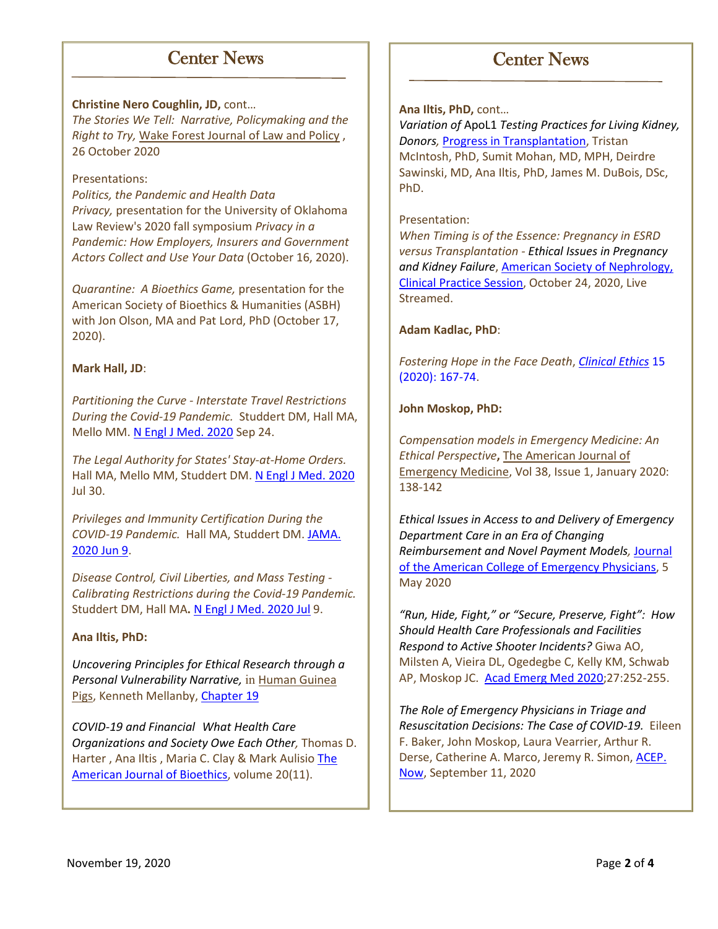## Center News

### **Christine Nero Coughlin, JD,** cont…

*The Stories We Tell: Narrative, Policymaking and the Right to Try,* [Wake Forest Journal of Law and Policy](https://wfulawpolicyjournal.com/) , 26 October 2020

### Presentations:

*Politics, the Pandemic and Health Data Privacy,* presentation for the University of Oklahoma Law Review's 2020 fall symposium *Privacy in a Pandemic: How Employers, Insurers and Government Actors Collect and Use Your Data* (October 16, 2020).

*Quarantine: A Bioethics Game,* presentation for the American Society of Bioethics & Humanities (ASBH) with Jon Olson, MA and Pat Lord, PhD (October 17, 2020).

### **Mark Hall, JD**:

*Partitioning the Curve - Interstate Travel Restrictions During the Covid-19 Pandemic.* Studdert DM, Hall MA, Mello MM[. N Engl J Med. 2020](https://pubmed.ncbi.nlm.nih.gov/32757517/) Sep 24.

*The Legal Authority for States' Stay-at-Home Orders.* Hall MA, Mello MM, Studdert DM[. N Engl J Med. 2020](https://pubmed.ncbi.nlm.nih.gov/32492296/) Jul 30.

*Privileges and Immunity Certification During the COVID-19 Pandemic.* Hall MA, Studdert DM. [JAMA.](https://pubmed.ncbi.nlm.nih.gov/32374358/)  [2020 Jun 9.](https://pubmed.ncbi.nlm.nih.gov/32374358/)

*Disease Control, Civil Liberties, and Mass Testing - Calibrating Restrictions during the Covid-19 Pandemic.* Studdert DM, Hall MA**.** [N Engl J Med. 2020 Jul](https://pubmed.ncbi.nlm.nih.gov/32272003/) 9.

### **Ana Iltis, PhD:**

*Uncovering Principles for Ethical Research through a Personal Vulnerability Narrative,* in Human Guinea Pigs, Kenneth Mellanby, [Chapter 19](https://link.springer.com/chapter/10.1007/978-3-030-37697-0_21)

*COVID-19 and Financial What Health Care Organizations and Society Owe Each Other,* [Thomas D.](https://www.tandfonline.com/author/Harter%2C+Thomas+D)  [Harter ,](https://www.tandfonline.com/author/Harter%2C+Thomas+D) [Ana Iltis ,](https://www.tandfonline.com/author/Iltis%2C+Ana) [Maria C. Clay &](https://www.tandfonline.com/author/Clay%2C+Maria+C) [Mark Aulisio](https://www.tandfonline.com/author/Aulisio%2C+Mark) [The](https://www.tandfonline.com/doi/full/10.1080/15265161.2020.1764143)  [American Journal of Bioethics,](https://www.tandfonline.com/doi/full/10.1080/15265161.2020.1764143) volume 20(11).

# **Ana Iltis, PhD,** cont…

*Variation of* ApoL1 *Testing Practices for Living Kidney, Donors,* [Progress in Transplantation, Tristan](https://journals.sagepub.com/doi/full/10.1177/1526924819892917?casa_token=H7vakjTSnigAAAAA%3AeFhcNvBY3O6LzE4_rzS23QCWnVbeW-StttrsNCcml84Mr3PT62JfPhEUCBcO-QuJodzZFOdf8azqOw&)  [McIntosh,](https://journals.sagepub.com/doi/full/10.1177/1526924819892917?casa_token=H7vakjTSnigAAAAA%3AeFhcNvBY3O6LzE4_rzS23QCWnVbeW-StttrsNCcml84Mr3PT62JfPhEUCBcO-QuJodzZFOdf8azqOw&) PhD, [Sumit Mohan,](https://journals.sagepub.com/doi/full/10.1177/1526924819892917?casa_token=H7vakjTSnigAAAAA%3AeFhcNvBY3O6LzE4_rzS23QCWnVbeW-StttrsNCcml84Mr3PT62JfPhEUCBcO-QuJodzZFOdf8azqOw&) MD, MPH[, Deirdre](https://journals.sagepub.com/doi/full/10.1177/1526924819892917?casa_token=H7vakjTSnigAAAAA%3AeFhcNvBY3O6LzE4_rzS23QCWnVbeW-StttrsNCcml84Mr3PT62JfPhEUCBcO-QuJodzZFOdf8azqOw&)  [Sawinski,](https://journals.sagepub.com/doi/full/10.1177/1526924819892917?casa_token=H7vakjTSnigAAAAA%3AeFhcNvBY3O6LzE4_rzS23QCWnVbeW-StttrsNCcml84Mr3PT62JfPhEUCBcO-QuJodzZFOdf8azqOw&) MD[, Ana Iltis,](https://journals.sagepub.com/doi/full/10.1177/1526924819892917?casa_token=H7vakjTSnigAAAAA%3AeFhcNvBY3O6LzE4_rzS23QCWnVbeW-StttrsNCcml84Mr3PT62JfPhEUCBcO-QuJodzZFOdf8azqOw&) PhD, [James M. DuBois,](https://journals.sagepub.com/doi/full/10.1177/1526924819892917?casa_token=H7vakjTSnigAAAAA%3AeFhcNvBY3O6LzE4_rzS23QCWnVbeW-StttrsNCcml84Mr3PT62JfPhEUCBcO-QuJodzZFOdf8azqOw&) DSc, PhD.

Center News

### Presentation:

*When Timing is of the Essence: Pregnancy in ESRD versus Transplantation - Ethical Issues in Pregnancy and Kidney Failure*, [American Society of Nephrology,](https://www.asn-online.org/education/kidneyweek/2020/program-session-details.aspx?sessId=356569)  [Clinical Practice Session,](https://www.asn-online.org/education/kidneyweek/2020/program-session-details.aspx?sessId=356569) October 24, 2020, Live Streamed.

### **Adam Kadlac, PhD**:

*Fostering Hope in the Face Death*, *[Clinical Ethics](https://journals.sagepub.com/doi/10.1177/1477750920927167)* 15 [\(2020\): 167-74.](https://journals.sagepub.com/doi/10.1177/1477750920927167)

### **John Moskop, PhD:**

*Compensation models in Emergency Medicine: An Ethical Perspective***,** The American Journal of Emergency Medicine, [Vol 38, Issue 1, January 2020:](https://www.sciencedirect.com/science/article/pii/S0735675719305029)  [138-142](https://www.sciencedirect.com/science/article/pii/S0735675719305029)

*Ethical Issues in Access to and Delivery of Emergency Department Care in an Era of Changing Reimbursement and Novel Payment Models,* [Journal](https://onlinelibrary.wiley.com/doi/full/10.1002/emp2.12067)  [of the American College of Emergency Physicians,](https://onlinelibrary.wiley.com/doi/full/10.1002/emp2.12067) 5 May 2020

*"Run, Hide, Fight," or "Secure, Preserve, Fight": How Should Health Care Professionals and Facilities Respond to Active Shooter Incidents?* Giwa AO, Milsten A, Vieira DL, Ogedegbe C, Kelly KM, Schwab AP, Moskop JC. [Acad Emerg Med 2020;](https://pubmed.ncbi.nlm.nih.gov/31883399/)27:252-255.

*The Role of Emergency Physicians in Triage and Resuscitation Decisions: The Case of COVID-19.* Eileen F. Baker, John Moskop, Laura Vearrier, Arthur R. Derse, Catherine A. Marco, Jeremy R. Simon[, ACEP.](https://www.acepnow.com/article/the-role-of-emergency-physicians-in-triage-and-resuscitation-decisions-the-case-of-covid-19/) [Now,](https://www.acepnow.com/article/the-role-of-emergency-physicians-in-triage-and-resuscitation-decisions-the-case-of-covid-19/) September 11, 2020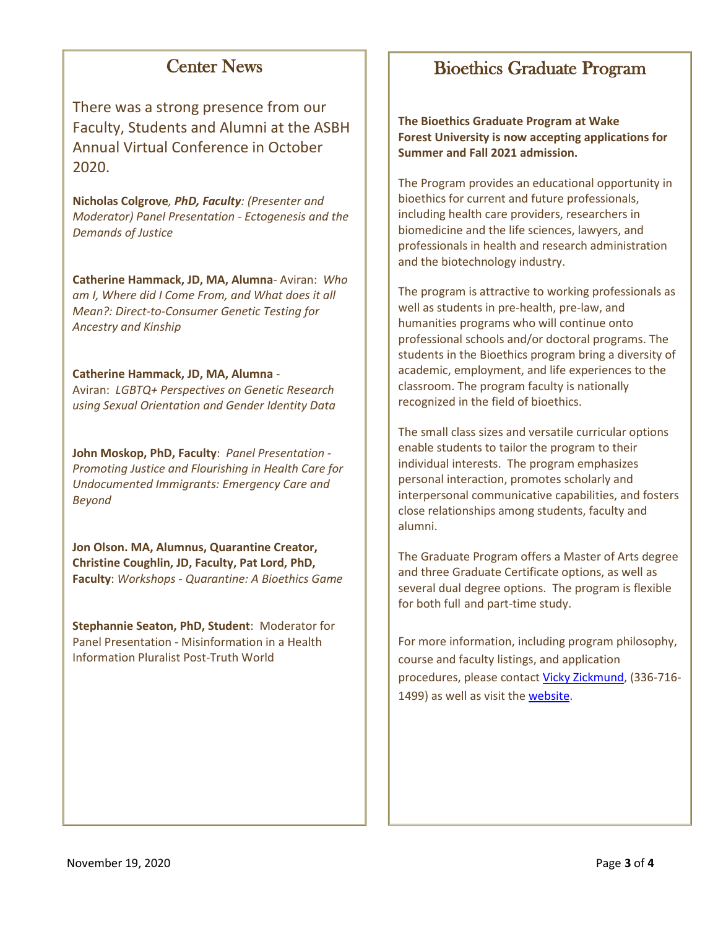# Center News

There was a strong presence from our Faculty, Students and Alumni at the ASBH Annual Virtual Conference in October 2020.

**Nicholas Colgrove***, PhD, Faculty: (Presenter and Moderator) Panel Presentation - Ectogenesis and the Demands of Justice*

**Catherine Hammack, JD, MA, Alumna**- Aviran: *Who am I, Where did I Come From, and What does it all Mean?: Direct-to-Consumer Genetic Testing for Ancestry and Kinship*

### **Catherine Hammack, JD, MA, Alumna** -

Aviran: *LGBTQ+ Perspectives on Genetic Research using Sexual Orientation and Gender Identity Data* 

**John Moskop, PhD, Faculty**: *Panel Presentation - Promoting Justice and Flourishing in Health Care for Undocumented Immigrants: Emergency Care and Beyond*

**Jon Olson. MA, Alumnus, Quarantine Creator, Christine Coughlin, JD, Faculty, Pat Lord, PhD, Faculty**: *Workshops - Quarantine: A Bioethics Game*

**Stephannie Seaton, PhD, Student**: Moderator for Panel Presentation - Misinformation in a Health Information Pluralist Post-Truth World

# Bioethics Graduate Program

**The Bioethics Graduate Program at Wake Forest University is now accepting applications for Summer and Fall 2021 admission.**

The Program provides an educational opportunity in bioethics for current and future professionals, including health care providers, researchers in biomedicine and the life sciences, lawyers, and professionals in health and research administration and the biotechnology industry.

The program is attractive to working professionals as well as students in pre-health, pre-law, and humanities programs who will continue onto professional schools and/or doctoral programs. The students in the Bioethics program bring a diversity of academic, employment, and life experiences to the classroom. The program faculty is nationally recognized in the field of bioethics.

The small class sizes and versatile curricular options enable students to tailor the program to their individual interests. The program emphasizes personal interaction, promotes scholarly and interpersonal communicative capabilities, and fosters close relationships among students, faculty and alumni.

The Graduate Program offers a Master of Arts degree and three Graduate Certificate options, as well as several dual degree options. The program is flexible for both full and part-time study.

For more information, including program philosophy, course and faculty listings, and application procedures, please contact [Vicky Zickmund,](mailto:zickmuvl@wfu.edu) (336-716- 1499) as well as visit th[e website.](https://graduatebioethics.wfu.edu/)